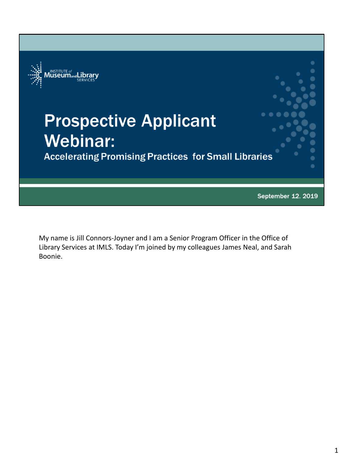

# **Prospective Applicant Webinar:**

**Accelerating Promising Practices for Small Libraries** 

September 12. 2019

My name is Jill Connors-Joyner and I am a Senior Program Officer in the Office of Library Services at IMLS. Today I'm joined by my colleagues James Neal, and Sarah Boonie.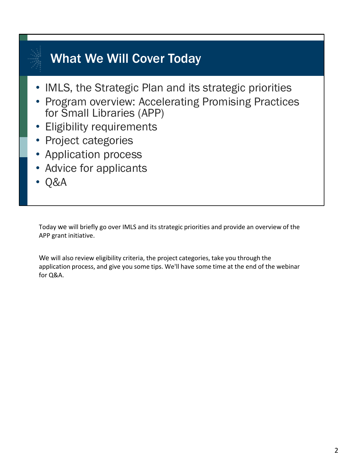### What We Will Cover Today

- IMLS, the Strategic Plan and its strategic priorities
- Program overview: Accelerating Promising Practices for Small Libraries (APP)
- Eligibility requirements
- Project categories
- Application process
- Advice for applicants
- Q&A

Today we will briefly go over IMLS and its strategic priorities and provide an overview of the APP grant initiative.

We will also review eligibility criteria, the project categories, take you through the application process, and give you some tips. We'll have some time at the end of the webinar for Q&A.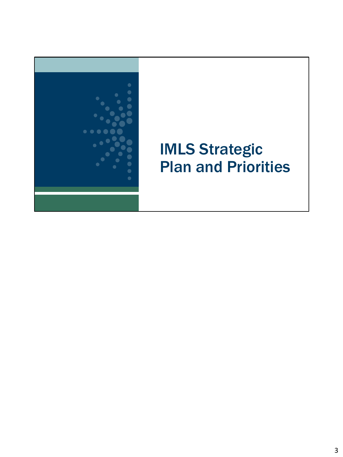

# IMLS Strategic Plan and Priorities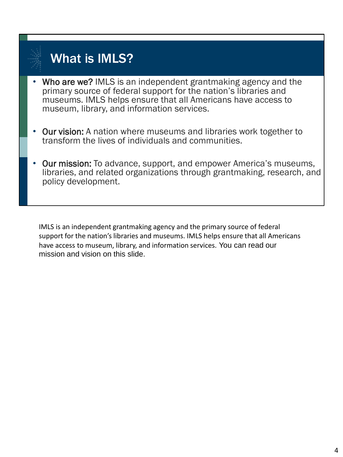## What is IMLS?

- **Who are we?** IMLS is an independent grantmaking agency and the primary source of federal support for the nation's libraries and museums. IMLS helps ensure that all Americans have access to museum, library, and information services.
- Our vision: A nation where museums and libraries work together to transform the lives of individuals and communities.
- Our mission: To advance, support, and empower America's museums, libraries, and related organizations through grantmaking, research, and policy development.

IMLS is an independent grantmaking agency and the primary source of federal support for the nation's libraries and museums. IMLS helps ensure that all Americans have access to museum, library, and information services. You can read our mission and vision on this slide.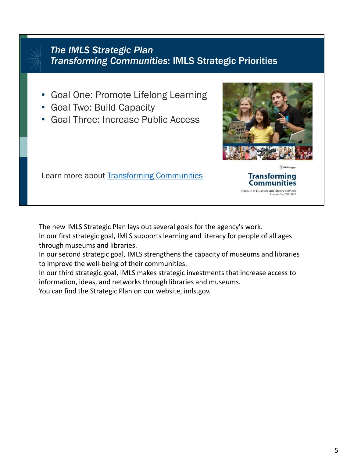#### *The IMLS Strategic Plan Transforming Communities*: IMLS Strategic Priorities

- Goal One: Promote Lifelong Learning
- Goal Two: Build Capacity
- Goal Three: Increase Public Access



**Transforming Communities** Institute of Museum and Library Services

Strategic Plan 2018-202

Learn more about Transforming Communities

The new IMLS Strategic Plan lays out several goals for the agency's work.

In our first strategic goal, IMLS supports learning and literacy for people of all ages through museums and libraries.

In our second strategic goal, IMLS strengthens the capacity of museums and libraries to improve the well-being of their communities.

In our third strategic goal, IMLS makes strategic investments that increase access to information, ideas, and networks through libraries and museums.

You can find the Strategic Plan on our website, imls.gov.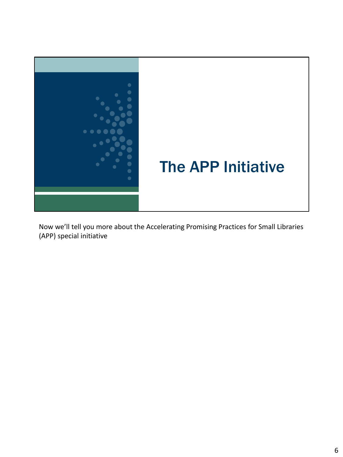

Now we'll tell you more about the Accelerating Promising Practices for Small Libraries (APP) special initiative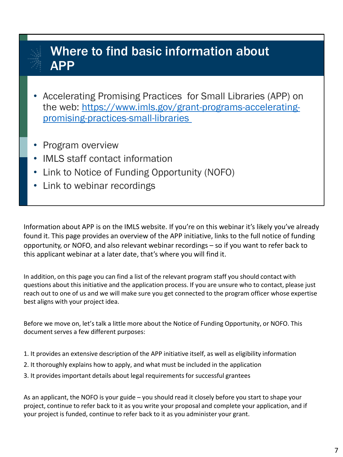#### Where to find basic information about APP

- Accelerating Promising Practices for Small Libraries (APP) on the web: https://www.imls.gov/grant-programs-acceleratingpromising-practices-small-libraries
- Program overview
- IMLS staff contact information
- Link to Notice of Funding Opportunity (NOFO)
- Link to webinar recordings

Information about APP is on the IMLS website. If you're on this webinar it's likely you've already found it. This page provides an overview of the APP initiative, links to the full notice of funding opportunity, or NOFO, and also relevant webinar recordings – so if you want to refer back to this applicant webinar at a later date, that's where you will find it.

In addition, on this page you can find a list of the relevant program staff you should contact with questions about this initiative and the application process. If you are unsure who to contact, please just reach out to one of us and we will make sure you get connected to the program officer whose expertise best aligns with your project idea.

Before we move on, let's talk a little more about the Notice of Funding Opportunity, or NOFO. This document serves a few different purposes:

- 1. It provides an extensive description of the APP initiative itself, as well as eligibility information
- 2. It thoroughly explains how to apply, and what must be included in the application
- 3. It provides important details about legal requirements for successful grantees

As an applicant, the NOFO is your guide – you should read it closely before you start to shape your project, continue to refer back to it as you write your proposal and complete your application, and if your project is funded, continue to refer back to it as you administer your grant.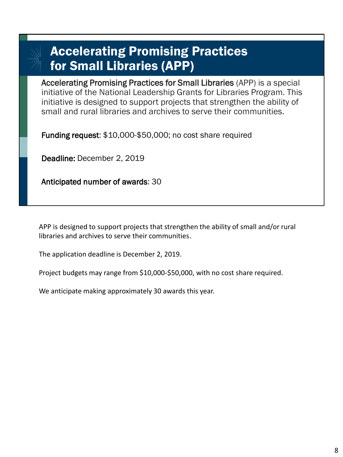### Accelerating Promising Practices for Small Libraries (APP)

Accelerating Promising Practices for Small Libraries (APP) is a special initiative of the National Leadership Grants for Libraries Program. This initiative is designed to support projects that strengthen the ability of small and rural libraries and archives to serve their communities.

Funding request: \$10,000-\$50,000; no cost share required

Deadline: December 2, 2019

Anticipated number of awards: 30

APP is designed to support projects that strengthen the ability of small and/or rural libraries and archives to serve their communities.

The application deadline is December 2, 2019.

Project budgets may range from \$10,000-\$50,000, with no cost share required.

We anticipate making approximately 30 awards this year.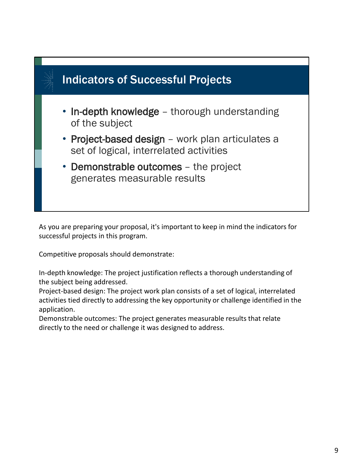

As you are preparing your proposal, it's important to keep in mind the indicators for successful projects in this program.

Competitive proposals should demonstrate:

In-depth knowledge: The project justification reflects a thorough understanding of the subject being addressed.

Project-based design: The project work plan consists of a set of logical, interrelated activities tied directly to addressing the key opportunity or challenge identified in the application.

Demonstrable outcomes: The project generates measurable results that relate directly to the need or challenge it was designed to address.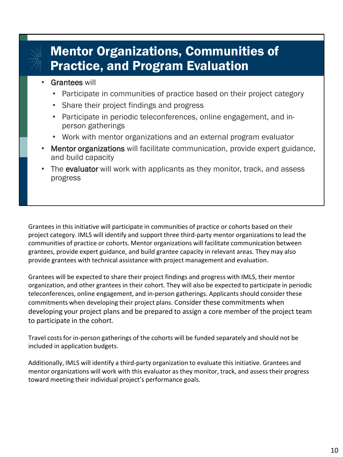### Mentor Organizations, Communities of Practice, and Program Evaluation

#### Grantees will

- Participate in communities of practice based on their project category
- Share their project findings and progress
- Participate in periodic teleconferences, online engagement, and inperson gatherings
- Work with mentor organizations and an external program evaluator
- Mentor organizations will facilitate communication, provide expert guidance, and build capacity
- The evaluator will work with applicants as they monitor, track, and assess progress

Grantees in this initiative will participate in communities of practice or cohorts based on their project category. IMLS will identify and support three third-party mentor organizations to lead the communities of practice or cohorts. Mentor organizations will facilitate communication between grantees, provide expert guidance, and build grantee capacity in relevant areas. They may also provide grantees with technical assistance with project management and evaluation.

Grantees will be expected to share their project findings and progress with IMLS, their mentor organization, and other grantees in their cohort. They will also be expected to participate in periodic teleconferences, online engagement, and in-person gatherings. Applicants should consider these commitments when developing their project plans. Consider these commitments when developing your project plans and be prepared to assign a core member of the project team to participate in the cohort.

Travel costs for in-person gatherings of the cohorts will be funded separately and should not be included in application budgets.

Additionally, IMLS will identify a third-party organization to evaluate this initiative. Grantees and mentor organizations will work with this evaluator as they monitor, track, and assess their progress toward meeting their individual project's performance goals.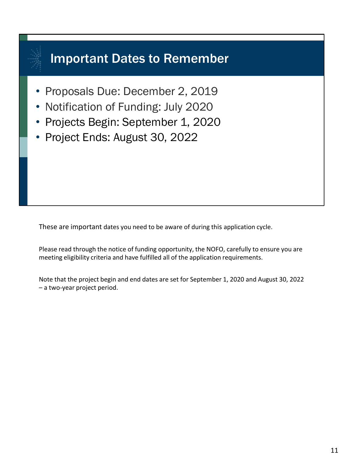#### Important Dates to Remember

- Proposals Due: December 2, 2019
- Notification of Funding: July 2020
- Projects Begin: September 1, 2020
- Project Ends: August 30, 2022

These are important dates you need to be aware of during this application cycle.

Please read through the notice of funding opportunity, the NOFO, carefully to ensure you are meeting eligibility criteria and have fulfilled all of the application requirements.

Note that the project begin and end dates are set for September 1, 2020 and August 30, 2022 – a two-year project period.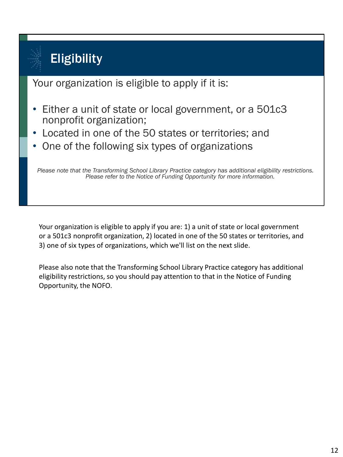## **Eligibility**

Your organization is eligible to apply if it is:

- Either a unit of state or local government, or a 501c3 nonprofit organization;
- Located in one of the 50 states or territories; and
- One of the following six types of organizations

*Please note that the Transforming School Library Practice category has additional eligibility restrictions. Please refer to the Notice of Funding Opportunity for more information.*

Your organization is eligible to apply if you are: 1) a unit of state or local government or a 501c3 nonprofit organization, 2) located in one of the 50 states or territories, and 3) one of six types of organizations, which we'll list on the next slide.

Please also note that the Transforming School Library Practice category has additional eligibility restrictions, so you should pay attention to that in the Notice of Funding Opportunity, the NOFO.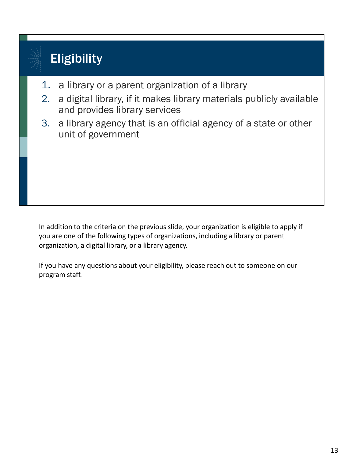## **Eligibility**

- 1. a library or a parent organization of a library
- 2. a digital library, if it makes library materials publicly available and provides library services
- 3. a library agency that is an official agency of a state or other unit of government

In addition to the criteria on the previous slide, your organization is eligible to apply if you are one of the following types of organizations, including a library or parent organization, a digital library, or a library agency.

If you have any questions about your eligibility, please reach out to someone on our program staff.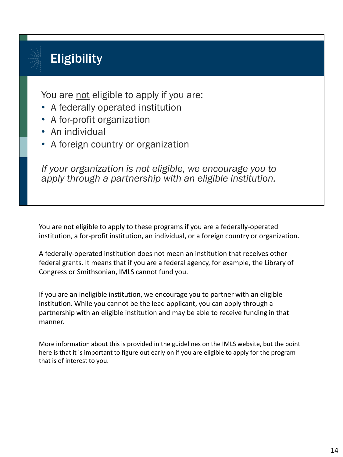## **Eligibility**

You are not eligible to apply if you are:

- A federally operated institution
- A for-profit organization
- An individual
- A foreign country or organization

*If your organization is not eligible, we encourage you to apply through a partnership with an eligible institution.*

You are not eligible to apply to these programs if you are a federally-operated institution, a for-profit institution, an individual, or a foreign country or organization.

A federally-operated institution does not mean an institution that receives other federal grants. It means that if you are a federal agency, for example, the Library of Congress or Smithsonian, IMLS cannot fund you.

If you are an ineligible institution, we encourage you to partner with an eligible institution. While you cannot be the lead applicant, you can apply through a partnership with an eligible institution and may be able to receive funding in that manner.

More information about this is provided in the guidelines on the IMLS website, but the point here is that it is important to figure out early on if you are eligible to apply for the program that is of interest to you.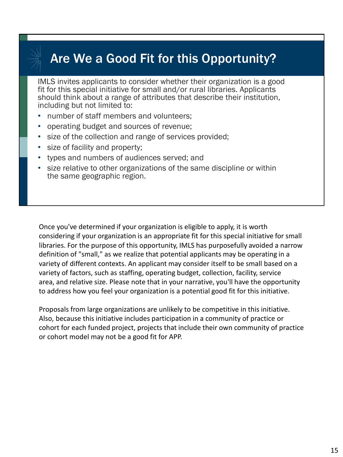### Are We a Good Fit for this Opportunity?

IMLS invites applicants to consider whether their organization is a good fit for this special initiative for small and/or rural libraries. Applicants should think about a range of attributes that describe their institution, including but not limited to:

- number of staff members and volunteers;
- operating budget and sources of revenue;
- size of the collection and range of services provided;
- size of facility and property;
- types and numbers of audiences served; and
- size relative to other organizations of the same discipline or within the same geographic region.

Once you've determined if your organization is eligible to apply, it is worth considering if your organization is an appropriate fit for this special initiative for small libraries. For the purpose of this opportunity, IMLS has purposefully avoided a narrow definition of "small," as we realize that potential applicants may be operating in a variety of different contexts. An applicant may consider itself to be small based on a variety of factors, such as staffing, operating budget, collection, facility, service area, and relative size. Please note that in your narrative, you'll have the opportunity to address how you feel your organization is a potential good fit for this initiative.

Proposals from large organizations are unlikely to be competitive in this initiative. Also, because this initiative includes participation in a community of practice or cohort for each funded project, projects that include their own community of practice or cohort model may not be a good fit for APP.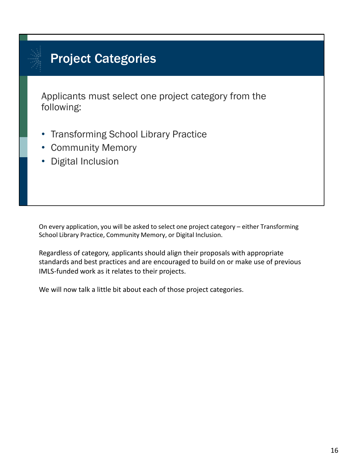## Project Categories

Applicants must select one project category from the following:

- Transforming School Library Practice
- Community Memory
- Digital Inclusion

On every application, you will be asked to select one project category – either Transforming School Library Practice, Community Memory, or Digital Inclusion.

Regardless of category, applicants should align their proposals with appropriate standards and best practices and are encouraged to build on or make use of previous IMLS-funded work as it relates to their projects.

We will now talk a little bit about each of those project categories.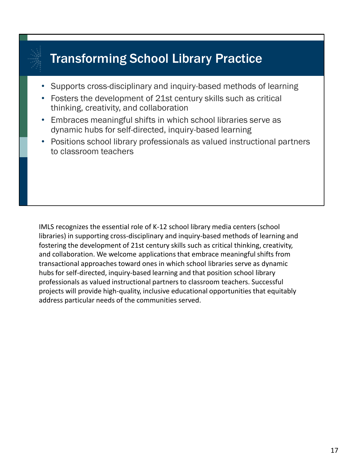### Transforming School Library Practice

- Supports cross-disciplinary and inquiry-based methods of learning
- Fosters the development of 21st century skills such as critical thinking, creativity, and collaboration
- Embraces meaningful shifts in which school libraries serve as dynamic hubs for self-directed, inquiry-based learning
- Positions school library professionals as valued instructional partners to classroom teachers

IMLS recognizes the essential role of K-12 school library media centers (school libraries) in supporting cross-disciplinary and inquiry-based methods of learning and fostering the development of 21st century skills such as critical thinking, creativity, and collaboration. We welcome applications that embrace meaningful shifts from transactional approaches toward ones in which school libraries serve as dynamic hubs for self-directed, inquiry-based learning and that position school library professionals as valued instructional partners to classroom teachers. Successful projects will provide high-quality, inclusive educational opportunities that equitably address particular needs of the communities served.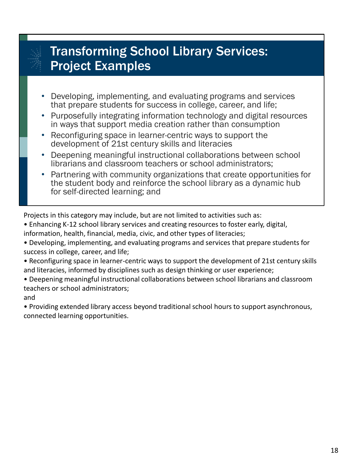### Transforming School Library Services: Project Examples

- Developing, implementing, and evaluating programs and services that prepare students for success in college, career, and life;
- Purposefully integrating information technology and digital resources in ways that support media creation rather than consumption
- Reconfiguring space in learner-centric ways to support the development of 21st century skills and literacies
- Deepening meaningful instructional collaborations between school librarians and classroom teachers or school administrators;
- Partnering with community organizations that create opportunities for the student body and reinforce the school library as a dynamic hub for self-directed learning; and

Projects in this category may include, but are not limited to activities such as:

- Enhancing K-12 school library services and creating resources to foster early, digital, information, health, financial, media, civic, and other types of literacies;
- Developing, implementing, and evaluating programs and services that prepare students for success in college, career, and life;
- Reconfiguring space in learner-centric ways to support the development of 21st century skills and literacies, informed by disciplines such as design thinking or user experience;
- Deepening meaningful instructional collaborations between school librarians and classroom teachers or school administrators;

#### and

• Providing extended library access beyond traditional school hours to support asynchronous, connected learning opportunities.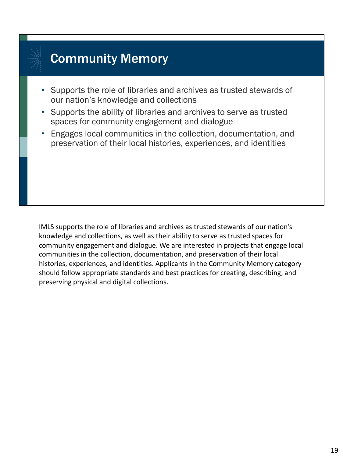### Community Memory

- Supports the role of libraries and archives as trusted stewards of our nation's knowledge and collections
- Supports the ability of libraries and archives to serve as trusted spaces for community engagement and dialogue
- Engages local communities in the collection, documentation, and preservation of their local histories, experiences, and identities

IMLS supports the role of libraries and archives as trusted stewards of our nation's knowledge and collections, as well as their ability to serve as trusted spaces for community engagement and dialogue. We are interested in projects that engage local communities in the collection, documentation, and preservation of their local histories, experiences, and identities. Applicants in the Community Memory category should follow appropriate standards and best practices for creating, describing, and preserving physical and digital collections.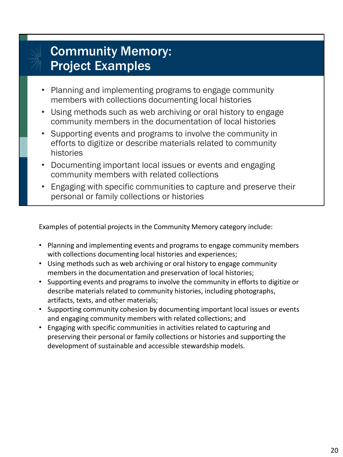### Community Memory: Project Examples

- Planning and implementing programs to engage community members with collections documenting local histories
- Using methods such as web archiving or oral history to engage community members in the documentation of local histories
- Supporting events and programs to involve the community in efforts to digitize or describe materials related to community histories
- Documenting important local issues or events and engaging community members with related collections
- Engaging with specific communities to capture and preserve their personal or family collections or histories

Examples of potential projects in the Community Memory category include:

- Planning and implementing events and programs to engage community members with collections documenting local histories and experiences;
- Using methods such as web archiving or oral history to engage community members in the documentation and preservation of local histories;
- Supporting events and programs to involve the community in efforts to digitize or describe materials related to community histories, including photographs, artifacts, texts, and other materials;
- Supporting community cohesion by documenting important local issues or events and engaging community members with related collections; and
- Engaging with specific communities in activities related to capturing and preserving their personal or family collections or histories and supporting the development of sustainable and accessible stewardship models.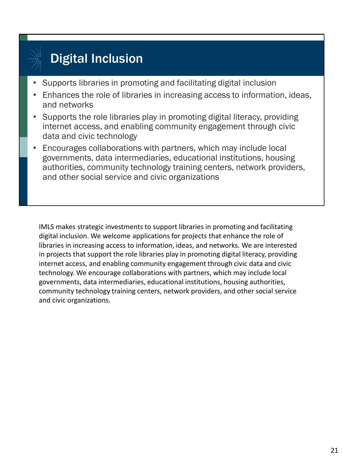### Digital Inclusion

- Supports libraries in promoting and facilitating digital inclusion
- Enhances the role of libraries in increasing access to information, ideas, and networks
- Supports the role libraries play in promoting digital literacy, providing internet access, and enabling community engagement through civic data and civic technology
- Encourages collaborations with partners, which may include local governments, data intermediaries, educational institutions, housing authorities, community technology training centers, network providers, and other social service and civic organizations

IMLS makes strategic investments to support libraries in promoting and facilitating digital inclusion. We welcome applications for projects that enhance the role of libraries in increasing access to information, ideas, and networks. We are interested in projects that support the role libraries play in promoting digital literacy, providing internet access, and enabling community engagement through civic data and civic technology. We encourage collaborations with partners, which may include local governments, data intermediaries, educational institutions, housing authorities, community technology training centers, network providers, and other social service and civic organizations.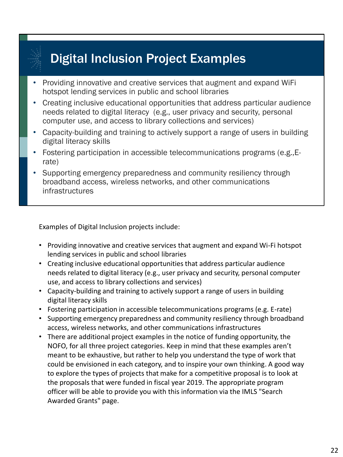### Digital Inclusion Project Examples

- Providing innovative and creative services that augment and expand WiFi hotspot lending services in public and school libraries
- Creating inclusive educational opportunities that address particular audience needs related to digital literacy (e.g., user privacy and security, personal computer use, and access to library collections and services)
- Capacity-building and training to actively support a range of users in building digital literacy skills
- Fostering participation in accessible telecommunications programs (e.g.,Erate)
- Supporting emergency preparedness and community resiliency through broadband access, wireless networks, and other communications infrastructures

Examples of Digital Inclusion projects include:

- Providing innovative and creative services that augment and expand Wi-Fi hotspot lending services in public and school libraries
- Creating inclusive educational opportunities that address particular audience needs related to digital literacy (e.g., user privacy and security, personal computer use, and access to library collections and services)
- Capacity-building and training to actively support a range of users in building digital literacy skills
- Fostering participation in accessible telecommunications programs (e.g. E-rate)
- Supporting emergency preparedness and community resiliency through broadband access, wireless networks, and other communications infrastructures
- There are additional project examples in the notice of funding opportunity, the NOFO, for all three project categories. Keep in mind that these examples aren't meant to be exhaustive, but rather to help you understand the type of work that could be envisioned in each category, and to inspire your own thinking. A good way to explore the types of projects that make for a competitive proposal is to look at the proposals that were funded in fiscal year 2019. The appropriate program officer will be able to provide you with this information via the IMLS "Search Awarded Grants" page.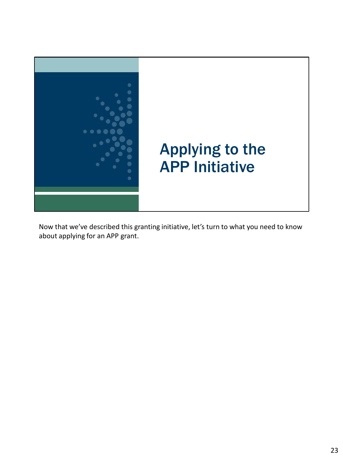

Now that we've described this granting initiative, let's turn to what you need to know about applying for an APP grant.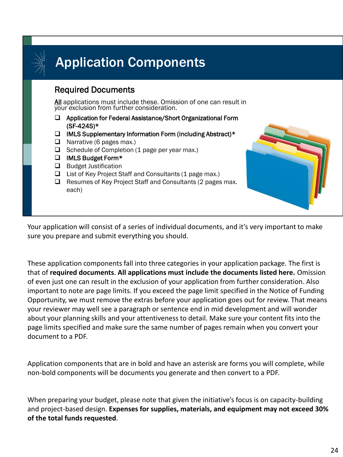

Your application will consist of a series of individual documents, and it's very important to make sure you prepare and submit everything you should.

These application components fall into three categories in your application package. The first is that of **required documents**. **All applications must include the documents listed here.** Omission of even just one can result in the exclusion of your application from further consideration. Also important to note are page limits. If you exceed the page limit specified in the Notice of Funding Opportunity, we must remove the extras before your application goes out for review. That means your reviewer may well see a paragraph or sentence end in mid development and will wonder about your planning skills and your attentiveness to detail. Make sure your content fits into the page limits specified and make sure the same number of pages remain when you convert your document to a PDF.

Application components that are in bold and have an asterisk are forms you will complete, while non-bold components will be documents you generate and then convert to a PDF.

When preparing your budget, please note that given the initiative's focus is on capacity-building and project-based design. **Expenses for supplies, materials, and equipment may not exceed 30% of the total funds requested**.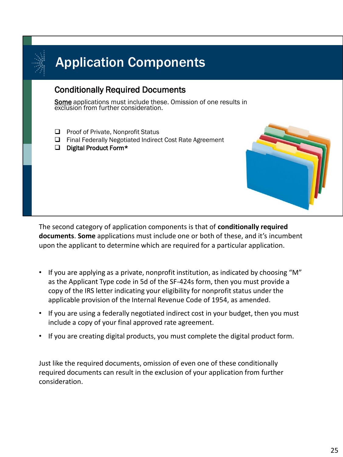

The second category of application components is that of **conditionally required documents**. **Some** applications must include one or both of these, and it's incumbent upon the applicant to determine which are required for a particular application.

- If you are applying as a private, nonprofit institution, as indicated by choosing "M" as the Applicant Type code in 5d of the SF-424s form, then you must provide a copy of the IRS letter indicating your eligibility for nonprofit status under the applicable provision of the Internal Revenue Code of 1954, as amended.
- If you are using a federally negotiated indirect cost in your budget, then you must include a copy of your final approved rate agreement.
- If you are creating digital products, you must complete the digital product form.

Just like the required documents, omission of even one of these conditionally required documents can result in the exclusion of your application from further consideration.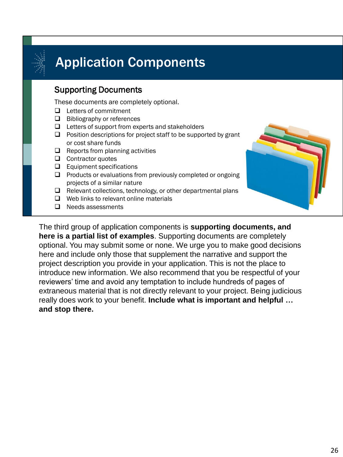## Application Components

#### Supporting Documents

These documents are completely optional.

- ❑ Letters of commitment
- ❑ Bibliography or references
- ❑ Letters of support from experts and stakeholders
- ❑ Position descriptions for project staff to be supported by grant or cost share funds
- ❑ Reports from planning activities
- ❑ Contractor quotes
- ❑ Equipment specifications
- ❑ Products or evaluations from previously completed or ongoing projects of a similar nature
- ❑ Relevant collections, technology, or other departmental plans
- ❑ Web links to relevant online materials
- ❑ Needs assessments



The third group of application components is **supporting documents, and here is a partial list of examples**. Supporting documents are completely optional. You may submit some or none. We urge you to make good decisions here and include only those that supplement the narrative and support the project description you provide in your application. This is not the place to introduce new information. We also recommend that you be respectful of your reviewers' time and avoid any temptation to include hundreds of pages of extraneous material that is not directly relevant to your project. Being judicious really does work to your benefit. **Include what is important and helpful … and stop there.**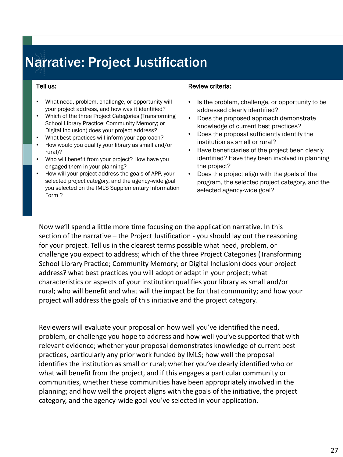## Narrative: Project Justification

#### Tell us:

- What need, problem, challenge, or opportunity will your project address, and how was it identified?
- Which of the three Project Categories (Transforming School Library Practice; Community Memory; or Digital Inclusion) does your project address?
- What best practices will inform your approach?
- How would you qualify your library as small and/or rural)?
- Who will benefit from your project? How have you engaged them in your planning?
- How will your project address the goals of APP, your selected project category, and the agency-wide goal you selected on the IMLS Supplementary Information Form ?

#### Review criteria:

- Is the problem, challenge, or opportunity to be addressed clearly identified?
- Does the proposed approach demonstrate knowledge of current best practices?
- Does the proposal sufficiently identify the institution as small or rural?
- Have beneficiaries of the project been clearly identified? Have they been involved in planning the project?
- Does the project align with the goals of the program, the selected project category, and the selected agency-wide goal?

Now we'll spend a little more time focusing on the application narrative. In this section of the narrative – the Project Justification - you should lay out the reasoning for your project. Tell us in the clearest terms possible what need, problem, or challenge you expect to address; which of the three Project Categories (Transforming School Library Practice; Community Memory; or Digital Inclusion) does your project address? what best practices you will adopt or adapt in your project; what characteristics or aspects of your institution qualifies your library as small and/or rural; who will benefit and what will the impact be for that community; and how your project will address the goals of this initiative and the project category.

Reviewers will evaluate your proposal on how well you've identified the need, problem, or challenge you hope to address and how well you've supported that with relevant evidence; whether your proposal demonstrates knowledge of current best practices, particularly any prior work funded by IMLS; how well the proposal identifies the institution as small or rural; whether you've clearly identified who or what will benefit from the project, and if this engages a particular community or communities, whether these communities have been appropriately involved in the planning; and how well the project aligns with the goals of the initiative, the project category, and the agency-wide goal you've selected in your application.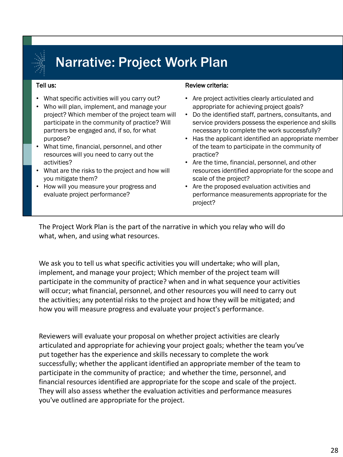## Narrative: Project Work Plan

#### Tell us:

- What specific activities will you carry out?
- Who will plan, implement, and manage your project? Which member of the project team will participate in the community of practice? Will partners be engaged and, if so, for what purpose?
- What time, financial, personnel, and other resources will you need to carry out the activities?
- What are the risks to the project and how will you mitigate them?
- How will you measure your progress and evaluate project performance?

#### Review criteria:

- Are project activities clearly articulated and appropriate for achieving project goals?
- Do the identified staff, partners, consultants, and service providers possess the experience and skills necessary to complete the work successfully?
- Has the applicant identified an appropriate member of the team to participate in the community of practice?
- Are the time, financial, personnel, and other resources identified appropriate for the scope and scale of the project?
- Are the proposed evaluation activities and performance measurements appropriate for the project?

The Project Work Plan is the part of the narrative in which you relay who will do what, when, and using what resources.

We ask you to tell us what specific activities you will undertake; who will plan, implement, and manage your project; Which member of the project team will participate in the community of practice? when and in what sequence your activities will occur; what financial, personnel, and other resources you will need to carry out the activities; any potential risks to the project and how they will be mitigated; and how you will measure progress and evaluate your project's performance.

Reviewers will evaluate your proposal on whether project activities are clearly articulated and appropriate for achieving your project goals; whether the team you've put together has the experience and skills necessary to complete the work successfully; whether the applicant identified an appropriate member of the team to participate in the community of practice; and whether the time, personnel, and financial resources identified are appropriate for the scope and scale of the project. They will also assess whether the evaluation activities and performance measures you've outlined are appropriate for the project.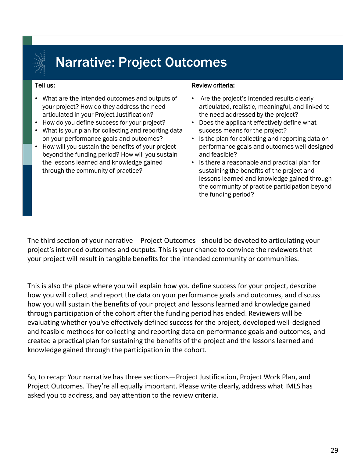## Narrative: Project Outcomes

#### Tell us:

- What are the intended outcomes and outputs of your project? How do they address the need articulated in your Project Justification?
- How do you define success for your project?
- What is your plan for collecting and reporting data on your performance goals and outcomes?
- How will you sustain the benefits of your project beyond the funding period? How will you sustain the lessons learned and knowledge gained through the community of practice?

#### Review criteria:

- Are the project's intended results clearly articulated, realistic, meaningful, and linked to the need addressed by the project?
- Does the applicant effectively define what success means for the project?
- Is the plan for collecting and reporting data on performance goals and outcomes well-designed and feasible?
- Is there a reasonable and practical plan for sustaining the benefits of the project and lessons learned and knowledge gained through the community of practice participation beyond the funding period?

The third section of your narrative - Project Outcomes - should be devoted to articulating your project's intended outcomes and outputs. This is your chance to convince the reviewers that your project will result in tangible benefits for the intended community or communities.

This is also the place where you will explain how you define success for your project, describe how you will collect and report the data on your performance goals and outcomes, and discuss how you will sustain the benefits of your project and lessons learned and knowledge gained through participation of the cohort after the funding period has ended. Reviewers will be evaluating whether you've effectively defined success for the project, developed well-designed and feasible methods for collecting and reporting data on performance goals and outcomes, and created a practical plan for sustaining the benefits of the project and the lessons learned and knowledge gained through the participation in the cohort.

So, to recap: Your narrative has three sections—Project Justification, Project Work Plan, and Project Outcomes. They're all equally important. Please write clearly, address what IMLS has asked you to address, and pay attention to the review criteria.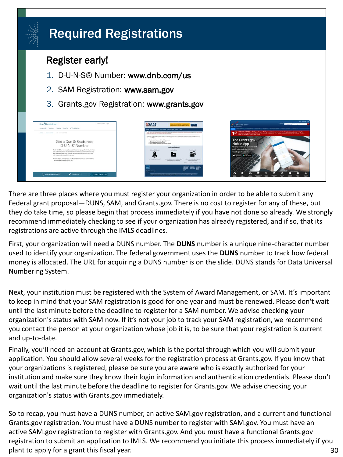

There are three places where you must register your organization in order to be able to submit any Federal grant proposal—DUNS, SAM, and Grants.gov. There is no cost to register for any of these, but they do take time, so please begin that process immediately if you have not done so already. We strongly recommend immediately checking to see if your organization has already registered, and if so, that its registrations are active through the IMLS deadlines.

First, your organization will need a DUNS number. The **DUNS** number is a unique nine-character number used to identify your organization. The federal government uses the **DUNS** number to track how federal money is allocated. The URL for acquiring a DUNS number is on the slide. DUNS stands for Data Universal Numbering System.

Next, your institution must be registered with the System of Award Management, or SAM. It's important to keep in mind that your SAM registration is good for one year and must be renewed. Please don't wait until the last minute before the deadline to register for a SAM number. We advise checking your organization's status with SAM now. If it's not your job to track your SAM registration, we recommend you contact the person at your organization whose job it is, to be sure that your registration is current and up-to-date.

Finally, you'll need an account at Grants.gov, which is the portal through which you will submit your application. You should allow several weeks for the registration process at Grants.gov. If you know that your organizations is registered, please be sure you are aware who is exactly authorized for your institution and make sure they know their login information and authentication credentials. Please don't wait until the last minute before the deadline to register for Grants.gov. We advise checking your organization's status with Grants.gov immediately.

So to recap, you must have a DUNS number, an active SAM.gov registration, and a current and functional Grants.gov registration. You must have a DUNS number to register with SAM.gov. You must have an active SAM.gov registration to register with Grants.gov. And you must have a functional Grants.gov registration to submit an application to IMLS. We recommend you initiate this process immediately if you plant to apply for a grant this fiscal year. 30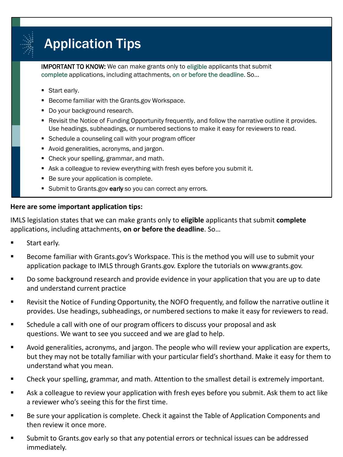## Application Tips

**IMPORTANT TO KNOW:** We can make grants only to eligible applicants that submit complete applications, including attachments, on or before the deadline. So…

- Start early.
- Become familiar with the Grants.gov Workspace.
- Do your background research.
- Revisit the Notice of Funding Opportunity frequently, and follow the narrative outline it provides. Use headings, subheadings, or numbered sections to make it easy for reviewers to read.
- Schedule a counseling call with your program officer
- Avoid generalities, acronyms, and jargon.
- Check your spelling, grammar, and math.
- Ask a colleague to review everything with fresh eyes before you submit it.
- Be sure your application is complete.
- **EXECT** Submit to Grants.gov early so you can correct any errors.

#### **Here are some important application tips:**

IMLS legislation states that we can make grants only to **eligible** applicants that submit **complete** applications, including attachments, **on or before the deadline**. So…

- Start early.
- Become familiar with Grants.gov's Workspace. This is the method you will use to submit your application package to IMLS through Grants.gov. Explore the tutorials on www.grants.gov.
- Do some background research and provide evidence in your application that you are up to date and understand current practice
- Revisit the Notice of Funding Opportunity, the NOFO frequently, and follow the narrative outline it provides. Use headings, subheadings, or numbered sections to make it easy for reviewers to read.
- Schedule a call with one of our program officers to discuss your proposal and ask questions. We want to see you succeed and we are glad to help.
- Avoid generalities, acronyms, and jargon. The people who will review your application are experts, but they may not be totally familiar with your particular field's shorthand. Make it easy for them to understand what you mean.
- Check your spelling, grammar, and math. Attention to the smallest detail is extremely important.
- Ask a colleague to review your application with fresh eyes before you submit. Ask them to act like a reviewer who's seeing this for the first time.
- Be sure your application is complete. Check it against the Table of Application Components and then review it once more.
- Submit to Grants.gov early so that any potential errors or technical issues can be addressed immediately.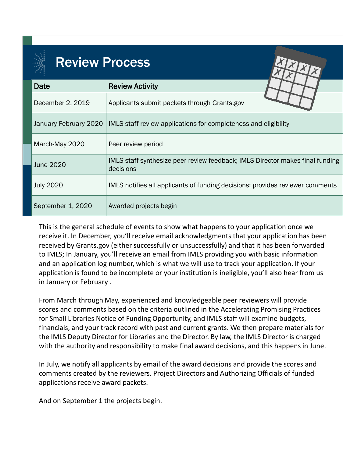

| Date                  | <b>Review Activity</b>                                                                     |  |
|-----------------------|--------------------------------------------------------------------------------------------|--|
| December 2, 2019      | Applicants submit packets through Grants.gov                                               |  |
| January-February 2020 | IMLS staff review applications for completeness and eligibility                            |  |
| March-May 2020        | Peer review period                                                                         |  |
| June 2020             | IMLS staff synthesize peer review feedback; IMLS Director makes final funding<br>decisions |  |
| <b>July 2020</b>      | IMLS notifies all applicants of funding decisions; provides reviewer comments              |  |
| September 1, 2020     | Awarded projects begin                                                                     |  |

This is the general schedule of events to show what happens to your application once we receive it. In December, you'll receive email acknowledgments that your application has been received by Grants.gov (either successfully or unsuccessfully) and that it has been forwarded to IMLS; In January, you'll receive an email from IMLS providing you with basic information and an application log number, which is what we will use to track your application. If your application is found to be incomplete or your institution is ineligible, you'll also hear from us in January or February .

From March through May, experienced and knowledgeable peer reviewers will provide scores and comments based on the criteria outlined in the Accelerating Promising Practices for Small Libraries Notice of Funding Opportunity, and IMLS staff will examine budgets, financials, and your track record with past and current grants. We then prepare materials for the IMLS Deputy Director for Libraries and the Director. By law, the IMLS Director is charged with the authority and responsibility to make final award decisions, and this happens in June.

In July, we notify all applicants by email of the award decisions and provide the scores and comments created by the reviewers. Project Directors and Authorizing Officials of funded applications receive award packets.

And on September 1 the projects begin.